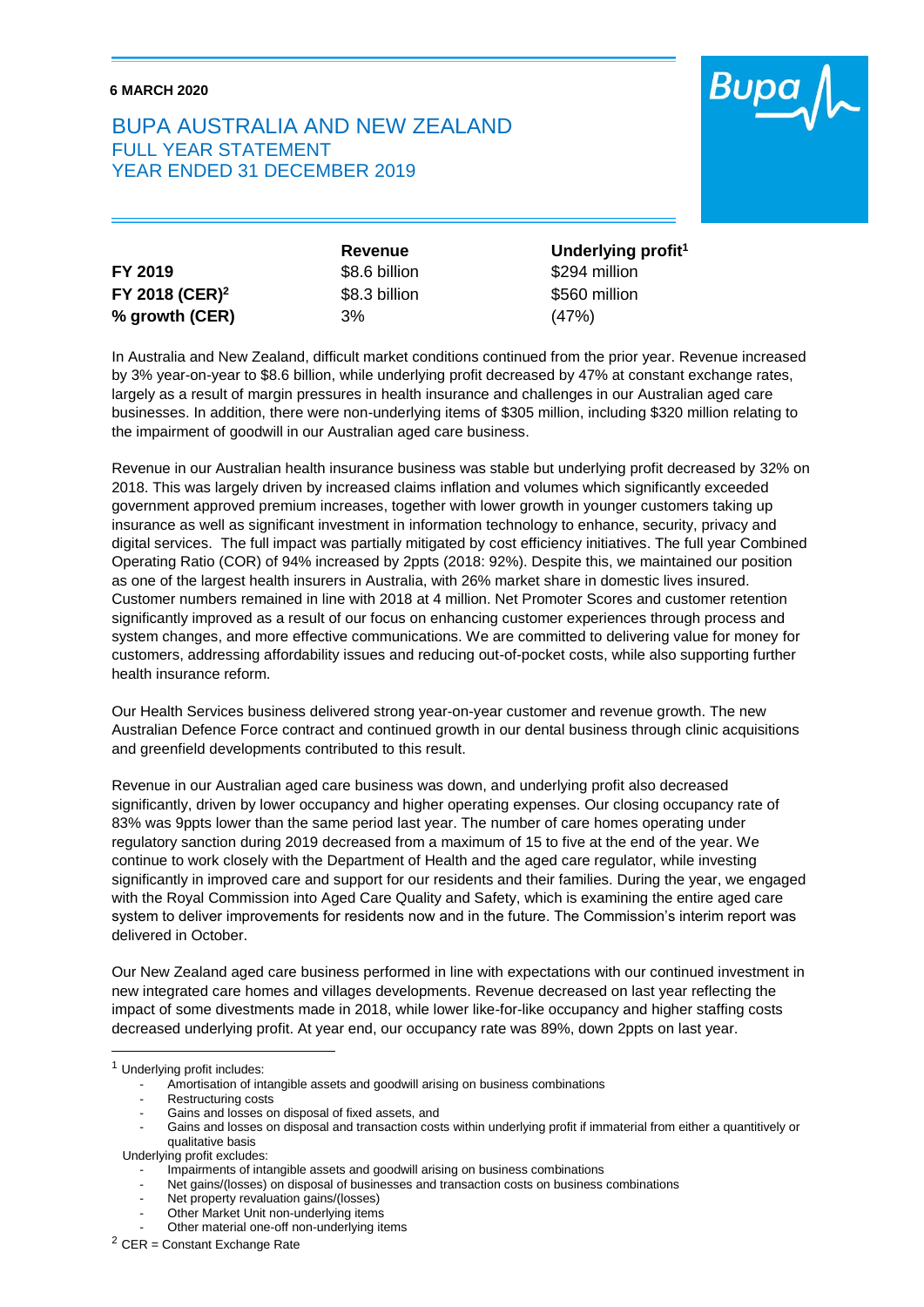## **6 MARCH 2020**

## BUPA AUSTRALIA AND NEW ZEALAND FULL YEAR STATEMENT YEAR ENDED 31 DECEMBER 2019



|                            | Revenue       | Underlying profit <sup>1</sup> |
|----------------------------|---------------|--------------------------------|
| FY 2019                    | \$8.6 billion | \$294 million                  |
| FY 2018 (CER) <sup>2</sup> | \$8.3 billion | \$560 million                  |
| % growth (CER)             | 3%            | (47%)                          |

In Australia and New Zealand, difficult market conditions continued from the prior year. Revenue increased by 3% year-on-year to \$8.6 billion, while underlying profit decreased by 47% at constant exchange rates, largely as a result of margin pressures in health insurance and challenges in our Australian aged care businesses. In addition, there were non-underlying items of \$305 million, including \$320 million relating to the impairment of goodwill in our Australian aged care business.

Revenue in our Australian health insurance business was stable but underlying profit decreased by 32% on 2018. This was largely driven by increased claims inflation and volumes which significantly exceeded government approved premium increases, together with lower growth in younger customers taking up insurance as well as significant investment in information technology to enhance, security, privacy and digital services. The full impact was partially mitigated by cost efficiency initiatives. The full year Combined Operating Ratio (COR) of 94% increased by 2ppts (2018: 92%). Despite this, we maintained our position as one of the largest health insurers in Australia, with 26% market share in domestic lives insured. Customer numbers remained in line with 2018 at 4 million. Net Promoter Scores and customer retention significantly improved as a result of our focus on enhancing customer experiences through process and system changes, and more effective communications. We are committed to delivering value for money for customers, addressing affordability issues and reducing out-of-pocket costs, while also supporting further health insurance reform.

Our Health Services business delivered strong year-on-year customer and revenue growth. The new Australian Defence Force contract and continued growth in our dental business through clinic acquisitions and greenfield developments contributed to this result.

Revenue in our Australian aged care business was down, and underlying profit also decreased significantly, driven by lower occupancy and higher operating expenses. Our closing occupancy rate of 83% was 9ppts lower than the same period last year. The number of care homes operating under regulatory sanction during 2019 decreased from a maximum of 15 to five at the end of the year. We continue to work closely with the Department of Health and the aged care regulator, while investing significantly in improved care and support for our residents and their families. During the year, we engaged with the Royal Commission into Aged Care Quality and Safety, which is examining the entire aged care system to deliver improvements for residents now and in the future. The Commission's interim report was delivered in October.

Our New Zealand aged care business performed in line with expectations with our continued investment in new integrated care homes and villages developments. Revenue decreased on last year reflecting the impact of some divestments made in 2018, while lower like-for-like occupancy and higher staffing costs decreased underlying profit. At year end, our occupancy rate was 89%, down 2ppts on last year.

-

<sup>1</sup> Underlying profit includes:

Amortisation of intangible assets and goodwill arising on business combinations

Restructuring costs

Gains and losses on disposal of fixed assets, and

<sup>-</sup> Gains and losses on disposal and transaction costs within underlying profit if immaterial from either a quantitively or qualitative basis

Underlying profit excludes:

Impairments of intangible assets and goodwill arising on business combinations

Net gains/(losses) on disposal of businesses and transaction costs on business combinations

Net property revaluation gains/(losses)

Other Market Unit non-underlying items

Other material one-off non-underlying items

<sup>2</sup> CER = Constant Exchange Rate